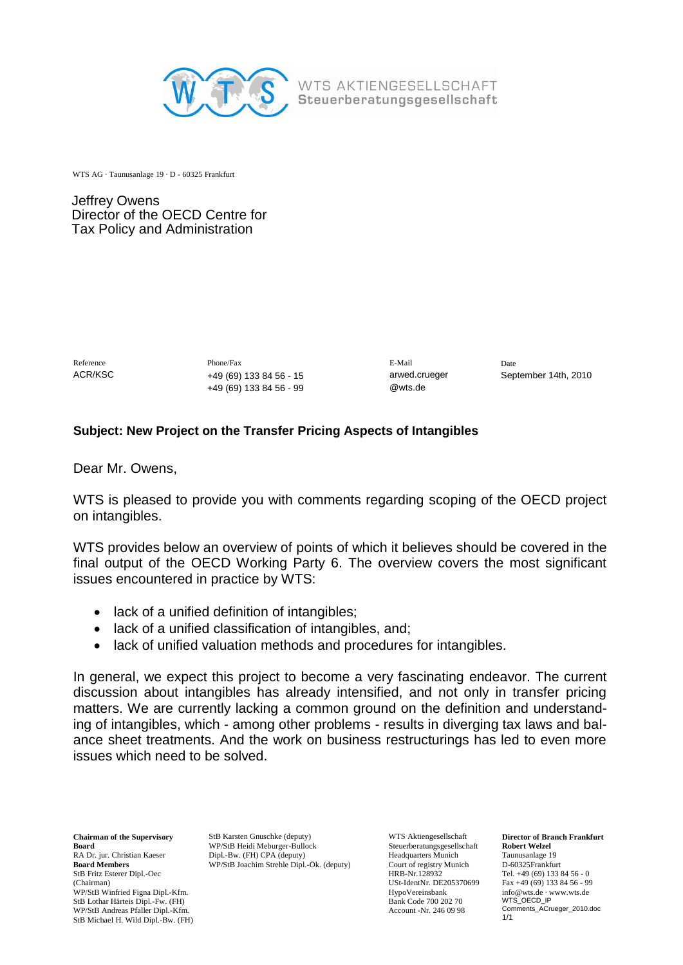

WTS AG · Taunusanlage 19 · D - 60325 Frankfurt

Jeffrey Owens Director of the OECD Centre for Tax Policy and Administration

Reference **Phone/Fax** Phone/Fax E-Mail Date ACR/KSC +49 (69) 133 84 56 - 15 arwed.crueger September 14th, 2010 +49 (69) 133 84 56 - 99 @wts.de

## **Subject: New Project on the Transfer Pricing Aspects of Intangibles**

Dear Mr. Owens,

WTS is pleased to provide you with comments regarding scoping of the OECD project on intangibles.

WTS provides below an overview of points of which it believes should be covered in the final output of the OECD Working Party 6. The overview covers the most significant issues encountered in practice by WTS:

- lack of a unified definition of intangibles:
- lack of a unified classification of intangibles, and;
- lack of unified valuation methods and procedures for intangibles.

In general, we expect this project to become a very fascinating endeavor. The current discussion about intangibles has already intensified, and not only in transfer pricing matters. We are currently lacking a common ground on the definition and understanding of intangibles, which - among other problems - results in diverging tax laws and balance sheet treatments. And the work on business restructurings has led to even more issues which need to be solved.

**Chairman of the Supervisory**  RA Dr. jur. Christian Kaeser **Board Members**  StB Fritz Esterer Dipl.-Oec (Chairman) WP/StB Winfried Figna Dipl.-Kfm. StB Lothar Härteis Dipl.-Fw. (FH) WP/StB Andreas Pfaller Dipl.-Kfm. StB Michael H. Wild Dipl.-Bw. (FH)

**Board** WP/StB Heidi Meburger-Bullock Steuerberatungsgesellschaft Rol StB Karsten Gnuschke (deputy) Dipl.-Bw. (FH) CPA (deputy) WP/StB Joachim Strehle Dipl.-Ök. (deputy)

WTS Aktiengesellschaft Steuerberatungsgesellschaft Headquarters Munich Court of registry Munich HRB-Nr.128932 USt-IdentNr. DE205370699 HypoVereinsbank Bank Code 700 202 70 Account -Nr. 246 09 98

**Director of Branch Frankfurt Robert Welzel** Taunusanlage 19 D-60325Frankfurt Tel. +49 (69) 133 84 56 - 0 Fax +49 (69) 133 84 56 - 99 info@wts.de · www.wts.de WTS\_OECD\_IP Comments\_ACrueger\_2010.doc 1/1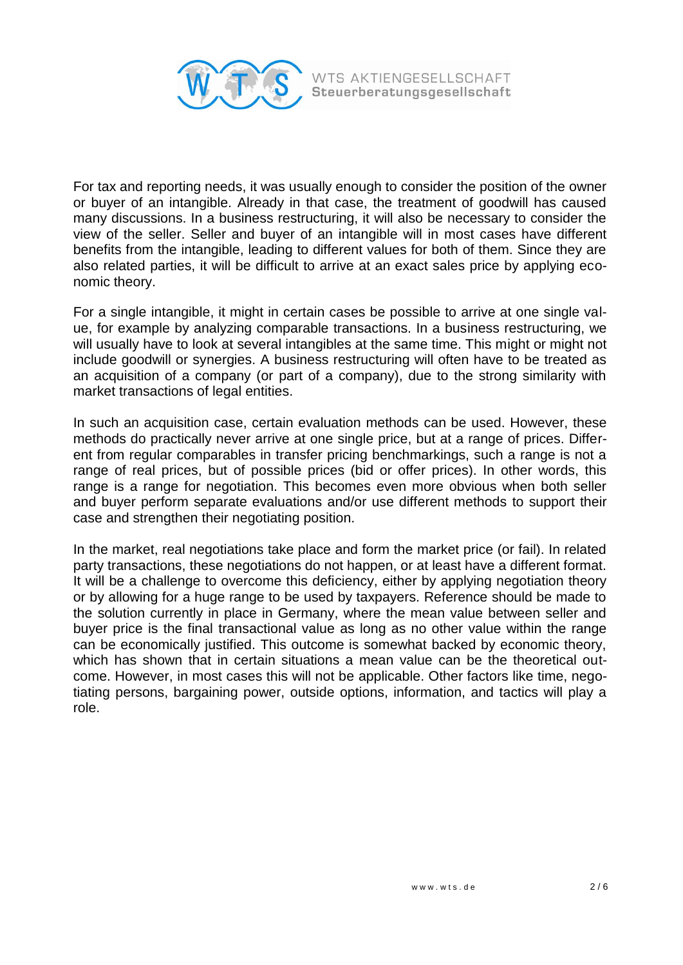

For tax and reporting needs, it was usually enough to consider the position of the owner or buyer of an intangible. Already in that case, the treatment of goodwill has caused many discussions. In a business restructuring, it will also be necessary to consider the view of the seller. Seller and buyer of an intangible will in most cases have different benefits from the intangible, leading to different values for both of them. Since they are also related parties, it will be difficult to arrive at an exact sales price by applying economic theory.

For a single intangible, it might in certain cases be possible to arrive at one single value, for example by analyzing comparable transactions. In a business restructuring, we will usually have to look at several intangibles at the same time. This might or might not include goodwill or synergies. A business restructuring will often have to be treated as an acquisition of a company (or part of a company), due to the strong similarity with market transactions of legal entities.

In such an acquisition case, certain evaluation methods can be used. However, these methods do practically never arrive at one single price, but at a range of prices. Different from regular comparables in transfer pricing benchmarkings, such a range is not a range of real prices, but of possible prices (bid or offer prices). In other words, this range is a range for negotiation. This becomes even more obvious when both seller and buyer perform separate evaluations and/or use different methods to support their case and strengthen their negotiating position.

In the market, real negotiations take place and form the market price (or fail). In related party transactions, these negotiations do not happen, or at least have a different format. It will be a challenge to overcome this deficiency, either by applying negotiation theory or by allowing for a huge range to be used by taxpayers. Reference should be made to the solution currently in place in Germany, where the mean value between seller and buyer price is the final transactional value as long as no other value within the range can be economically justified. This outcome is somewhat backed by economic theory, which has shown that in certain situations a mean value can be the theoretical outcome. However, in most cases this will not be applicable. Other factors like time, negotiating persons, bargaining power, outside options, information, and tactics will play a role.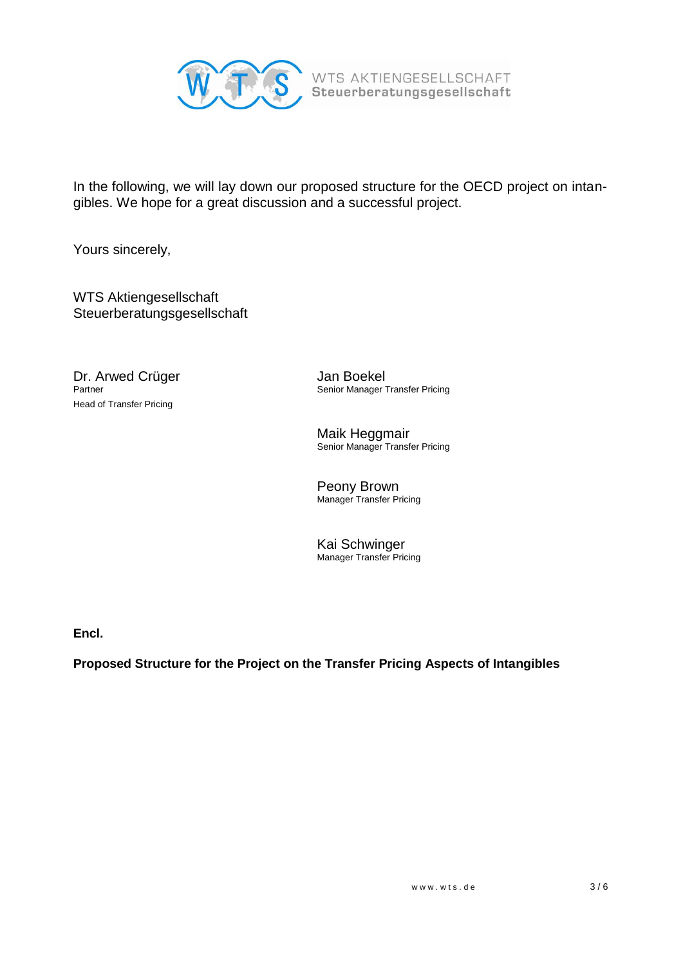

In the following, we will lay down our proposed structure for the OECD project on intangibles. We hope for a great discussion and a successful project.

Yours sincerely,

WTS Aktiengesellschaft Steuerberatungsgesellschaft

**Dr. Arwed Crüger Green Schwarzer Schwarzer Schwarzer Senior Manager 1**<br>Partner Senior Manager 1 Head of Transfer Pricing

Senior Manager Transfer Pricing

Maik Heggmair Senior Manager Transfer Pricing

Peony Brown Manager Transfer Pricing

Kai Schwinger Manager Transfer Pricing

**Encl.**

**Proposed Structure for the Project on the Transfer Pricing Aspects of Intangibles**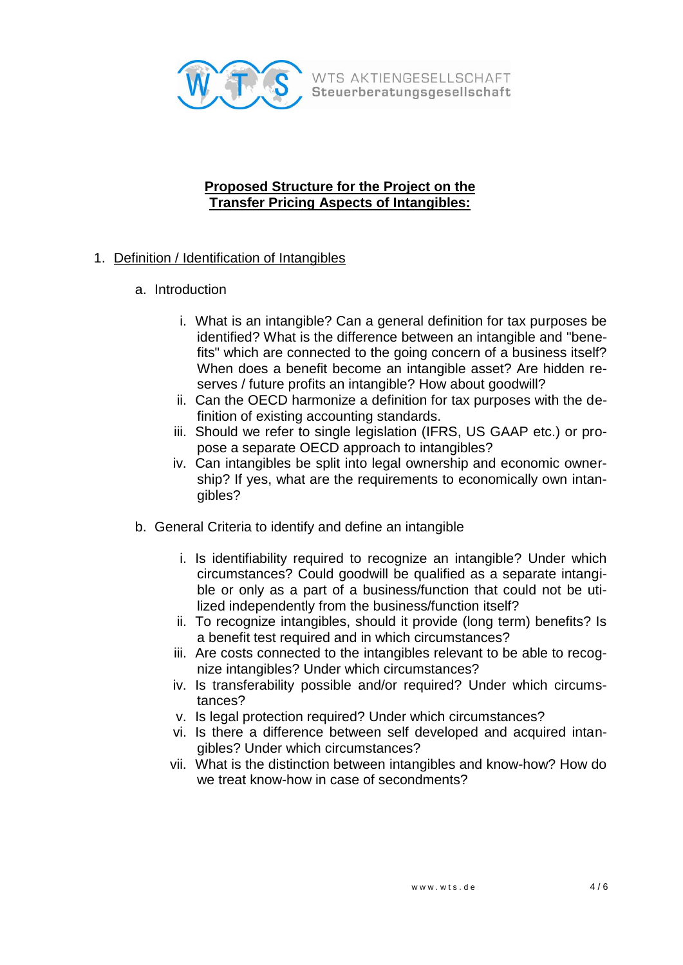

## **Proposed Structure for the Project on the Transfer Pricing Aspects of Intangibles:**

- 1. Definition / Identification of Intangibles
	- a. Introduction
		- i. What is an intangible? Can a general definition for tax purposes be identified? What is the difference between an intangible and "benefits" which are connected to the going concern of a business itself? When does a benefit become an intangible asset? Are hidden reserves / future profits an intangible? How about goodwill?
		- ii. Can the OECD harmonize a definition for tax purposes with the definition of existing accounting standards.
		- iii. Should we refer to single legislation (IFRS, US GAAP etc.) or propose a separate OECD approach to intangibles?
		- iv. Can intangibles be split into legal ownership and economic ownership? If yes, what are the requirements to economically own intangibles?
	- b. General Criteria to identify and define an intangible
		- i. Is identifiability required to recognize an intangible? Under which circumstances? Could goodwill be qualified as a separate intangible or only as a part of a business/function that could not be utilized independently from the business/function itself?
		- ii. To recognize intangibles, should it provide (long term) benefits? Is a benefit test required and in which circumstances?
		- iii. Are costs connected to the intangibles relevant to be able to recognize intangibles? Under which circumstances?
		- iv. Is transferability possible and/or required? Under which circumstances?
		- v. Is legal protection required? Under which circumstances?
		- vi. Is there a difference between self developed and acquired intangibles? Under which circumstances?
		- vii. What is the distinction between intangibles and know-how? How do we treat know-how in case of secondments?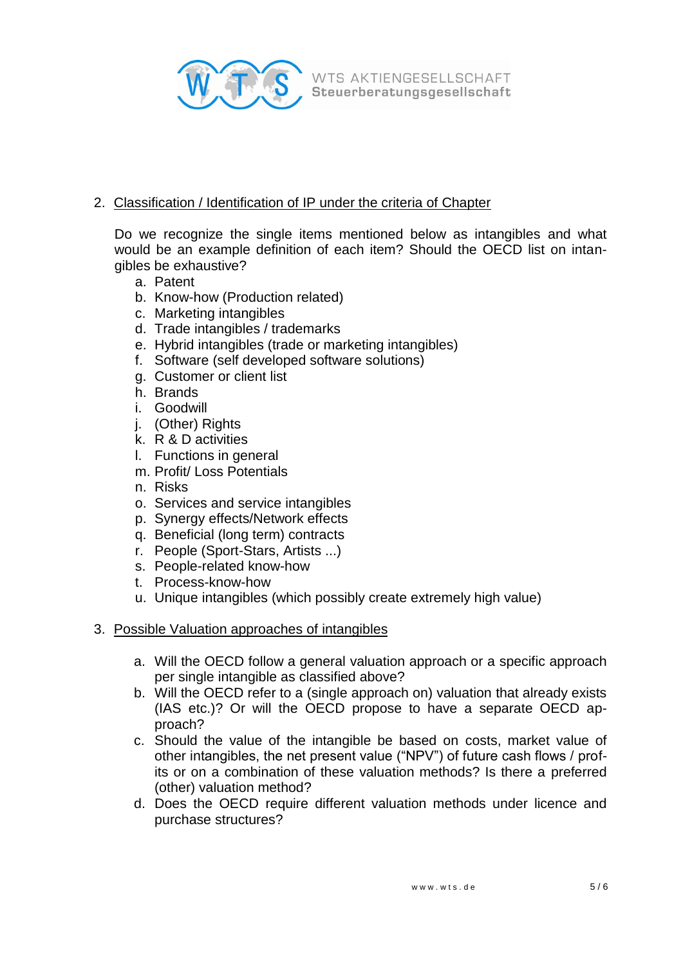

## 2. Classification / Identification of IP under the criteria of Chapter

Do we recognize the single items mentioned below as intangibles and what would be an example definition of each item? Should the OECD list on intangibles be exhaustive?

- a. Patent
- b. Know-how (Production related)
- c. Marketing intangibles
- d. Trade intangibles / trademarks
- e. Hybrid intangibles (trade or marketing intangibles)
- f. Software (self developed software solutions)
- g. Customer or client list
- h. Brands
- i. Goodwill
- j. (Other) Rights
- k. R & D activities
- l. Functions in general
- m. Profit/ Loss Potentials
- n. Risks
- o. Services and service intangibles
- p. Synergy effects/Network effects
- q. Beneficial (long term) contracts
- r. People (Sport-Stars, Artists ...)
- s. People-related know-how
- t. Process-know-how
- u. Unique intangibles (which possibly create extremely high value)

## 3. Possible Valuation approaches of intangibles

- a. Will the OECD follow a general valuation approach or a specific approach per single intangible as classified above?
- b. Will the OECD refer to a (single approach on) valuation that already exists (IAS etc.)? Or will the OECD propose to have a separate OECD approach?
- c. Should the value of the intangible be based on costs, market value of other intangibles, the net present value ("NPV") of future cash flows / profits or on a combination of these valuation methods? Is there a preferred (other) valuation method?
- d. Does the OECD require different valuation methods under licence and purchase structures?